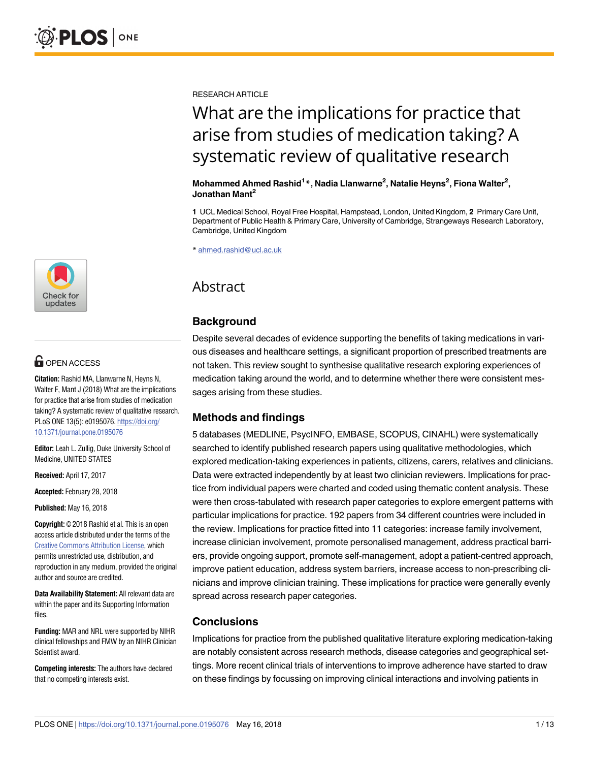[a1111111111](http://crossmark.crossref.org/dialog/?doi=10.1371/journal.pone.0195076&domain=pdf&date_stamp=2018-05-16) [a1111111111](http://crossmark.crossref.org/dialog/?doi=10.1371/journal.pone.0195076&domain=pdf&date_stamp=2018-05-16) Check for

# **OPEN ACCESS**

[a1111111111](http://crossmark.crossref.org/dialog/?doi=10.1371/journal.pone.0195076&domain=pdf&date_stamp=2018-05-16)

undates

**Citation:** Rashid MA, Llanwarne N, Heyns N, Walter F, Mant J (2018) What are the implications for practice that arise from studies of medication taking? A systematic review of qualitative research. PLoS ONE 13(5): e0195076. [https://doi.org/](https://doi.org/10.1371/journal.pone.0195076) [10.1371/journal.pone.0195076](https://doi.org/10.1371/journal.pone.0195076)

**Editor:** Leah L. Zullig, Duke University School of Medicine, UNITED STATES

**Received:** April 17, 2017

**Accepted:** February 28, 2018

**Published:** May 16, 2018

**Copyright:** © 2018 Rashid et al. This is an open access article distributed under the terms of the Creative Commons [Attribution](http://creativecommons.org/licenses/by/4.0/) License, which permits unrestricted use, distribution, and reproduction in any medium, provided the original author and source are credited.

**Data Availability Statement:** All relevant data are within the paper and its Supporting Information files.

**Funding:** MAR and NRL were supported by NIHR clinical fellowships and FMW by an NIHR Clinician Scientist award.

**Competing interests:** The authors have declared that no competing interests exist.

RESEARCH ARTICLE

# What are the implications for practice that arise from studies of medication taking? A systematic review of qualitative research

#### **Mohammed Ahmed Rashid1 \*, Nadia Llanwarne2 , Natalie Heyns2 , Fiona Walter2 , Jonathan Mant2**

**1** UCL Medical School, Royal Free Hospital, Hampstead, London, United Kingdom, **2** Primary Care Unit, Department of Public Health & Primary Care, University of Cambridge, Strangeways Research Laboratory, Cambridge, United Kingdom

\* ahmed.rashid@ucl.ac.uk

# Abstract

# **Background**

Despite several decades of evidence supporting the benefits of taking medications in various diseases and healthcare settings, a significant proportion of prescribed treatments are not taken. This review sought to synthesise qualitative research exploring experiences of medication taking around the world, and to determine whether there were consistent messages arising from these studies.

## **Methods and findings**

5 databases (MEDLINE, PsycINFO, EMBASE, SCOPUS, CINAHL) were systematically searched to identify published research papers using qualitative methodologies, which explored medication-taking experiences in patients, citizens, carers, relatives and clinicians. Data were extracted independently by at least two clinician reviewers. Implications for practice from individual papers were charted and coded using thematic content analysis. These were then cross-tabulated with research paper categories to explore emergent patterns with particular implications for practice. 192 papers from 34 different countries were included in the review. Implications for practice fitted into 11 categories: increase family involvement, increase clinician involvement, promote personalised management, address practical barriers, provide ongoing support, promote self-management, adopt a patient-centred approach, improve patient education, address system barriers, increase access to non-prescribing clinicians and improve clinician training. These implications for practice were generally evenly spread across research paper categories.

### **Conclusions**

Implications for practice from the published qualitative literature exploring medication-taking are notably consistent across research methods, disease categories and geographical settings. More recent clinical trials of interventions to improve adherence have started to draw on these findings by focussing on improving clinical interactions and involving patients in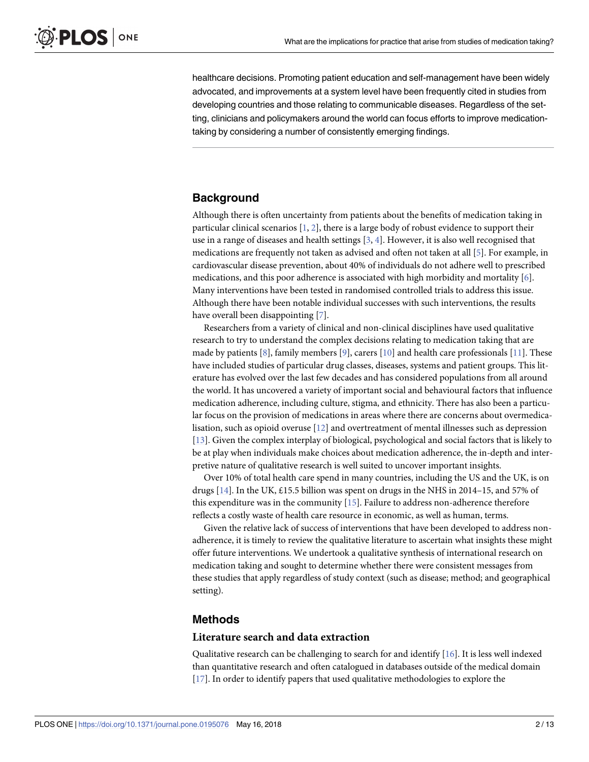<span id="page-1-0"></span>healthcare decisions. Promoting patient education and self-management have been widely advocated, and improvements at a system level have been frequently cited in studies from developing countries and those relating to communicable diseases. Regardless of the setting, clinicians and policymakers around the world can focus efforts to improve medicationtaking by considering a number of consistently emerging findings.

## **Background**

Although there is often uncertainty from patients about the benefits of medication taking in particular clinical scenarios [\[1](#page-9-0), [2](#page-9-0)], there is a large body of robust evidence to support their use in a range of diseases and health settings  $[3, 4]$  $[3, 4]$  $[3, 4]$  $[3, 4]$ . However, it is also well recognised that medications are frequently not taken as advised and often not taken at all [\[5](#page-10-0)]. For example, in cardiovascular disease prevention, about 40% of individuals do not adhere well to prescribed medications, and this poor adherence is associated with high morbidity and mortality [\[6\]](#page-10-0). Many interventions have been tested in randomised controlled trials to address this issue. Although there have been notable individual successes with such interventions, the results have overall been disappointing [[7](#page-10-0)].

Researchers from a variety of clinical and non-clinical disciplines have used qualitative research to try to understand the complex decisions relating to medication taking that are made by patients [\[8\]](#page-10-0), family members [[9\]](#page-10-0), carers [\[10\]](#page-10-0) and health care professionals [\[11\]](#page-10-0). These have included studies of particular drug classes, diseases, systems and patient groups. This literature has evolved over the last few decades and has considered populations from all around the world. It has uncovered a variety of important social and behavioural factors that influence medication adherence, including culture, stigma, and ethnicity. There has also been a particular focus on the provision of medications in areas where there are concerns about overmedicalisation, such as opioid overuse [[12](#page-10-0)] and overtreatment of mental illnesses such as depression [\[13\]](#page-10-0). Given the complex interplay of biological, psychological and social factors that is likely to be at play when individuals make choices about medication adherence, the in-depth and interpretive nature of qualitative research is well suited to uncover important insights.

Over 10% of total health care spend in many countries, including the US and the UK, is on drugs [\[14\]](#page-10-0). In the UK, £15.5 billion was spent on drugs in the NHS in 2014–15, and 57% of this expenditure was in the community [\[15\]](#page-10-0). Failure to address non-adherence therefore reflects a costly waste of health care resource in economic, as well as human, terms.

Given the relative lack of success of interventions that have been developed to address nonadherence, it is timely to review the qualitative literature to ascertain what insights these might offer future interventions. We undertook a qualitative synthesis of international research on medication taking and sought to determine whether there were consistent messages from these studies that apply regardless of study context (such as disease; method; and geographical setting).

#### **Methods**

#### **Literature search and data extraction**

Qualitative research can be challenging to search for and identify  $[16]$ . It is less well indexed than quantitative research and often catalogued in databases outside of the medical domain [\[17\]](#page-10-0). In order to identify papers that used qualitative methodologies to explore the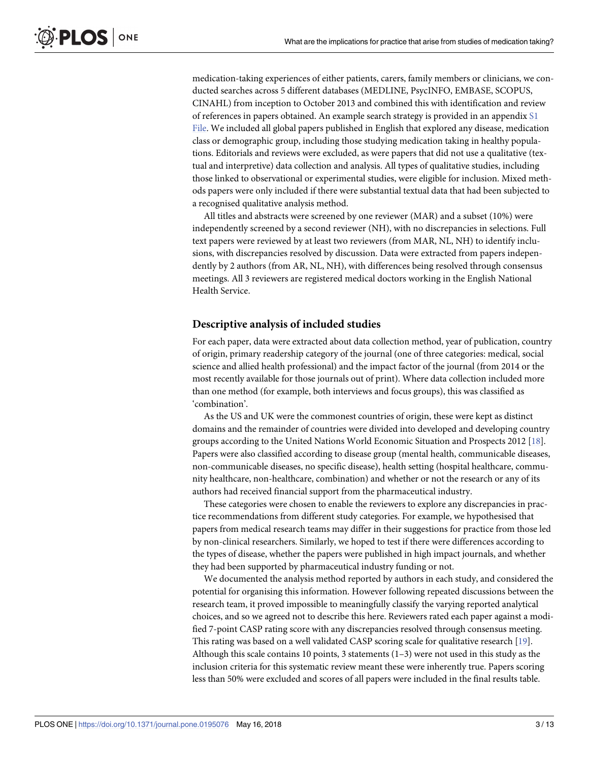<span id="page-2-0"></span>medication-taking experiences of either patients, carers, family members or clinicians, we conducted searches across 5 different databases (MEDLINE, PsycINFO, EMBASE, SCOPUS, CINAHL) from inception to October 2013 and combined this with identification and review of references in papers obtained. An example search strategy is provided in an appendix [S1](#page-9-0) [File.](#page-9-0) We included all global papers published in English that explored any disease, medication class or demographic group, including those studying medication taking in healthy populations. Editorials and reviews were excluded, as were papers that did not use a qualitative (textual and interpretive) data collection and analysis. All types of qualitative studies, including those linked to observational or experimental studies, were eligible for inclusion. Mixed methods papers were only included if there were substantial textual data that had been subjected to a recognised qualitative analysis method.

All titles and abstracts were screened by one reviewer (MAR) and a subset (10%) were independently screened by a second reviewer (NH), with no discrepancies in selections. Full text papers were reviewed by at least two reviewers (from MAR, NL, NH) to identify inclusions, with discrepancies resolved by discussion. Data were extracted from papers independently by 2 authors (from AR, NL, NH), with differences being resolved through consensus meetings. All 3 reviewers are registered medical doctors working in the English National Health Service.

#### **Descriptive analysis of included studies**

For each paper, data were extracted about data collection method, year of publication, country of origin, primary readership category of the journal (one of three categories: medical, social science and allied health professional) and the impact factor of the journal (from 2014 or the most recently available for those journals out of print). Where data collection included more than one method (for example, both interviews and focus groups), this was classified as 'combination'.

As the US and UK were the commonest countries of origin, these were kept as distinct domains and the remainder of countries were divided into developed and developing country groups according to the United Nations World Economic Situation and Prospects 2012 [\[18\]](#page-10-0). Papers were also classified according to disease group (mental health, communicable diseases, non-communicable diseases, no specific disease), health setting (hospital healthcare, community healthcare, non-healthcare, combination) and whether or not the research or any of its authors had received financial support from the pharmaceutical industry.

These categories were chosen to enable the reviewers to explore any discrepancies in practice recommendations from different study categories. For example, we hypothesised that papers from medical research teams may differ in their suggestions for practice from those led by non-clinical researchers. Similarly, we hoped to test if there were differences according to the types of disease, whether the papers were published in high impact journals, and whether they had been supported by pharmaceutical industry funding or not.

We documented the analysis method reported by authors in each study, and considered the potential for organising this information. However following repeated discussions between the research team, it proved impossible to meaningfully classify the varying reported analytical choices, and so we agreed not to describe this here. Reviewers rated each paper against a modified 7-point CASP rating score with any discrepancies resolved through consensus meeting. This rating was based on a well validated CASP scoring scale for qualitative research [[19](#page-10-0)]. Although this scale contains 10 points, 3 statements  $(1-3)$  were not used in this study as the inclusion criteria for this systematic review meant these were inherently true. Papers scoring less than 50% were excluded and scores of all papers were included in the final results table.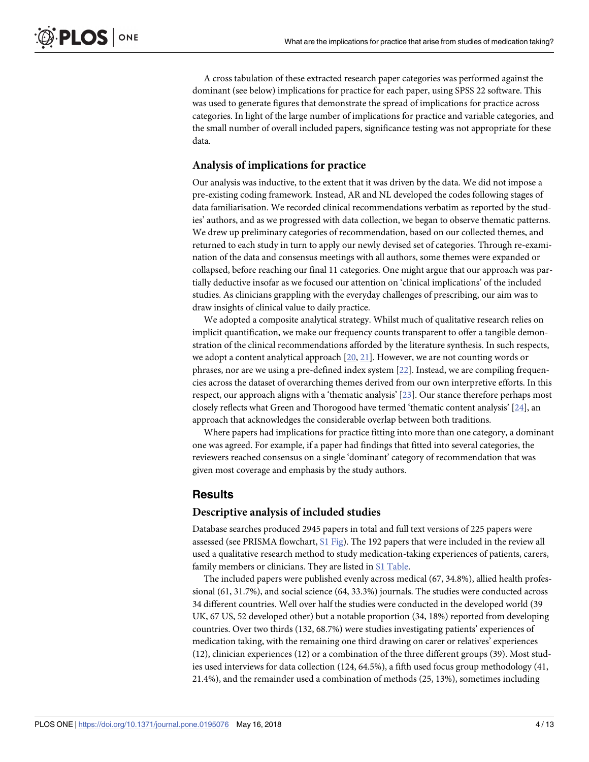<span id="page-3-0"></span>A cross tabulation of these extracted research paper categories was performed against the dominant (see below) implications for practice for each paper, using SPSS 22 software. This was used to generate figures that demonstrate the spread of implications for practice across categories. In light of the large number of implications for practice and variable categories, and the small number of overall included papers, significance testing was not appropriate for these data.

#### **Analysis of implications for practice**

Our analysis was inductive, to the extent that it was driven by the data. We did not impose a pre-existing coding framework. Instead, AR and NL developed the codes following stages of data familiarisation. We recorded clinical recommendations verbatim as reported by the studies' authors, and as we progressed with data collection, we began to observe thematic patterns. We drew up preliminary categories of recommendation, based on our collected themes, and returned to each study in turn to apply our newly devised set of categories. Through re-examination of the data and consensus meetings with all authors, some themes were expanded or collapsed, before reaching our final 11 categories. One might argue that our approach was partially deductive insofar as we focused our attention on 'clinical implications' of the included studies. As clinicians grappling with the everyday challenges of prescribing, our aim was to draw insights of clinical value to daily practice.

We adopted a composite analytical strategy. Whilst much of qualitative research relies on implicit quantification, we make our frequency counts transparent to offer a tangible demonstration of the clinical recommendations afforded by the literature synthesis. In such respects, we adopt a content analytical approach [[20,](#page-10-0) [21](#page-10-0)]. However, we are not counting words or phrases, nor are we using a pre-defined index system [\[22\]](#page-10-0). Instead, we are compiling frequencies across the dataset of overarching themes derived from our own interpretive efforts. In this respect, our approach aligns with a 'thematic analysis' [[23](#page-10-0)]. Our stance therefore perhaps most closely reflects what Green and Thorogood have termed 'thematic content analysis' [\[24\]](#page-10-0), an approach that acknowledges the considerable overlap between both traditions.

Where papers had implications for practice fitting into more than one category, a dominant one was agreed. For example, if a paper had findings that fitted into several categories, the reviewers reached consensus on a single 'dominant' category of recommendation that was given most coverage and emphasis by the study authors.

#### **Results**

#### **Descriptive analysis of included studies**

Database searches produced 2945 papers in total and full text versions of 225 papers were assessed (see PRISMA flowchart, S1 [Fig\)](#page-9-0). The 192 papers that were included in the review all used a qualitative research method to study medication-taking experiences of patients, carers, family members or clinicians. They are listed in S1 [Table.](#page-9-0)

The included papers were published evenly across medical (67, 34.8%), allied health professional (61, 31.7%), and social science (64, 33.3%) journals. The studies were conducted across 34 different countries. Well over half the studies were conducted in the developed world (39 UK, 67 US, 52 developed other) but a notable proportion (34, 18%) reported from developing countries. Over two thirds (132, 68.7%) were studies investigating patients' experiences of medication taking, with the remaining one third drawing on carer or relatives' experiences (12), clinician experiences (12) or a combination of the three different groups (39). Most studies used interviews for data collection (124, 64.5%), a fifth used focus group methodology (41, 21.4%), and the remainder used a combination of methods (25, 13%), sometimes including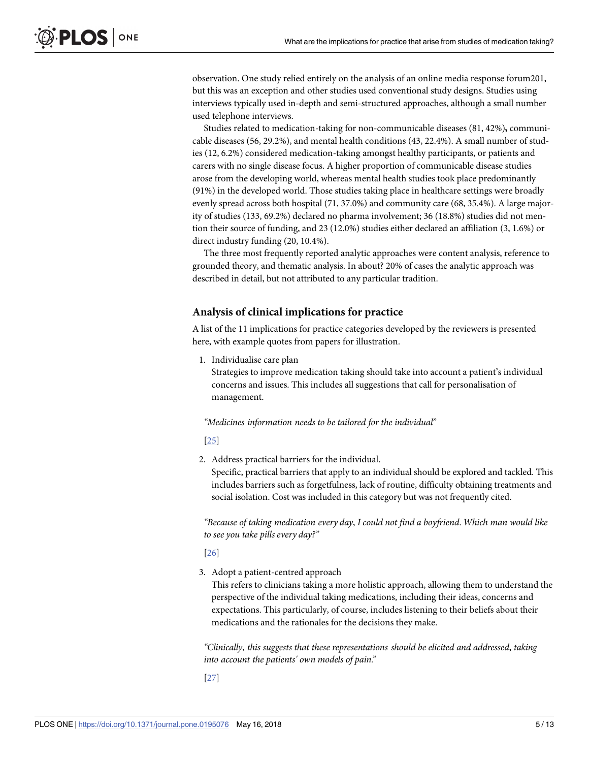<span id="page-4-0"></span>observation. One study relied entirely on the analysis of an online media response forum201, but this was an exception and other studies used conventional study designs. Studies using interviews typically used in-depth and semi-structured approaches, although a small number used telephone interviews.

Studies related to medication-taking for non-communicable diseases (81, 42%), communicable diseases (56, 29.2%), and mental health conditions (43, 22.4%). A small number of studies (12, 6.2%) considered medication-taking amongst healthy participants, or patients and carers with no single disease focus. A higher proportion of communicable disease studies arose from the developing world, whereas mental health studies took place predominantly (91%) in the developed world. Those studies taking place in healthcare settings were broadly evenly spread across both hospital (71, 37.0%) and community care (68, 35.4%). A large majority of studies (133, 69.2%) declared no pharma involvement; 36 (18.8%) studies did not mention their source of funding, and 23 (12.0%) studies either declared an affiliation (3, 1.6%) or direct industry funding (20, 10.4%).

The three most frequently reported analytic approaches were content analysis, reference to grounded theory, and thematic analysis. In about? 20% of cases the analytic approach was described in detail, but not attributed to any particular tradition.

#### **Analysis of clinical implications for practice**

A list of the 11 implications for practice categories developed by the reviewers is presented here, with example quotes from papers for illustration.

1. Individualise care plan

Strategies to improve medication taking should take into account a patient's individual concerns and issues. This includes all suggestions that call for personalisation of management.

*"Medicines information needs to be tailored for the individual"*

[\[25\]](#page-11-0)

2. Address practical barriers for the individual. Specific, practical barriers that apply to an individual should be explored and tackled. This includes barriers such as forgetfulness, lack of routine, difficulty obtaining treatments and social isolation. Cost was included in this category but was not frequently cited.

*"Because of taking medication every day*, *I could not find a boyfriend*. *Which man would like to see you take pills every day?"*

[\[26\]](#page-11-0)

3. Adopt a patient-centred approach

This refers to clinicians taking a more holistic approach, allowing them to understand the perspective of the individual taking medications, including their ideas, concerns and expectations. This particularly, of course, includes listening to their beliefs about their medications and the rationales for the decisions they make.

*"Clinically*, *this suggests that these representations should be elicited and addressed*, *taking into account the patients' own models of pain."*

[\[27\]](#page-11-0)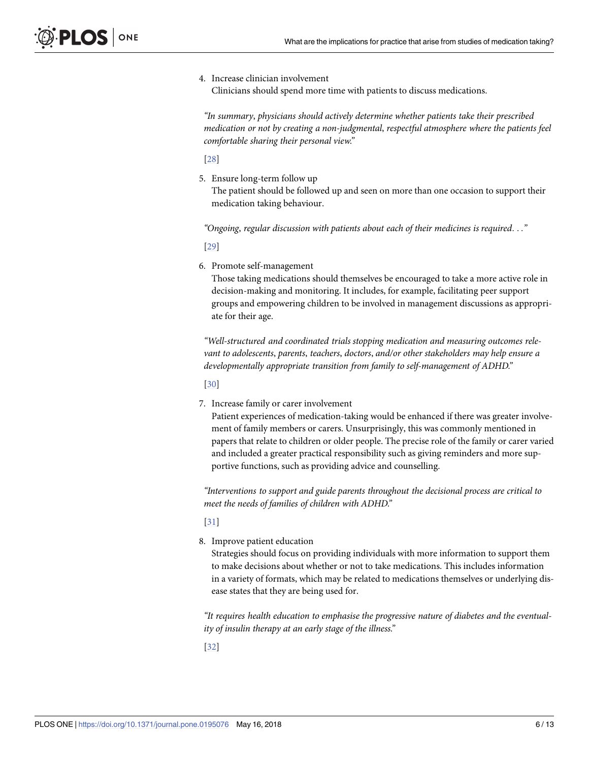<span id="page-5-0"></span>4. Increase clinician involvement Clinicians should spend more time with patients to discuss medications.

*"In summary*, *physicians should actively determine whether patients take their prescribed medication or not by creating a non-judgmental*, *respectful atmosphere where the patients feel comfortable sharing their personal view."*

[\[28\]](#page-11-0)

5. Ensure long-term follow up

The patient should be followed up and seen on more than one occasion to support their medication taking behaviour.

*"Ongoing*, *regular discussion with patients about each of their medicines is required*. . .*"*

[\[29\]](#page-11-0)

6. Promote self-management

Those taking medications should themselves be encouraged to take a more active role in decision-making and monitoring. It includes, for example, facilitating peer support groups and empowering children to be involved in management discussions as appropriate for their age.

*"Well-structured and coordinated trials stopping medication and measuring outcomes relevant to adolescents*, *parents*, *teachers*, *doctors*, *and/or other stakeholders may help ensure a developmentally appropriate transition from family to self-management of ADHD."*

[\[30\]](#page-11-0)

7. Increase family or carer involvement

Patient experiences of medication-taking would be enhanced if there was greater involvement of family members or carers. Unsurprisingly, this was commonly mentioned in papers that relate to children or older people. The precise role of the family or carer varied and included a greater practical responsibility such as giving reminders and more supportive functions, such as providing advice and counselling.

*"Interventions to support and guide parents throughout the decisional process are critical to meet the needs of families of children with ADHD."*

[\[31\]](#page-11-0)

8. Improve patient education

Strategies should focus on providing individuals with more information to support them to make decisions about whether or not to take medications. This includes information in a variety of formats, which may be related to medications themselves or underlying disease states that they are being used for.

*"It requires health education to emphasise the progressive nature of diabetes and the eventuality of insulin therapy at an early stage of the illness."*

[\[32\]](#page-11-0)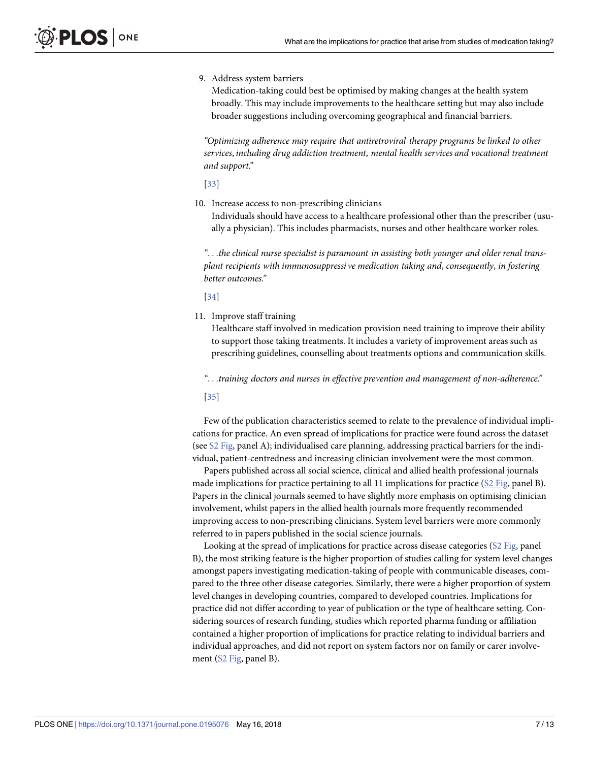#### <span id="page-6-0"></span>9. Address system barriers

Medication-taking could best be optimised by making changes at the health system broadly. This may include improvements to the healthcare setting but may also include broader suggestions including overcoming geographical and financial barriers.

*"Optimizing adherence may require that antiretroviral therapy programs be linked to other services*, *including drug addiction treatment*, *mental health services and vocational treatment and support."*

[\[33\]](#page-11-0)

10. Increase access to non-prescribing clinicians

Individuals should have access to a healthcare professional other than the prescriber (usually a physician). This includes pharmacists, nurses and other healthcare worker roles.

*"*. . .*the clinical nurse specialist is paramount in assisting both younger and older renal transplant recipients with immunosuppressi ve medication taking and*, *consequently*, *in fostering better outcomes."*

[\[34\]](#page-11-0)

11. Improve staff training

Healthcare staff involved in medication provision need training to improve their ability to support those taking treatments. It includes a variety of improvement areas such as prescribing guidelines, counselling about treatments options and communication skills.

*"*. . .*training doctors and nurses in effective prevention and management of non-adherence."*

[\[35\]](#page-11-0)

Few of the publication characteristics seemed to relate to the prevalence of individual implications for practice. An even spread of implications for practice were found across the dataset (see S2 [Fig,](#page-9-0) panel A); individualised care planning, addressing practical barriers for the individual, patient-centredness and increasing clinician involvement were the most common.

Papers published across all social science, clinical and allied health professional journals made implications for practice pertaining to all 11 implications for practice (S2 [Fig,](#page-9-0) panel B). Papers in the clinical journals seemed to have slightly more emphasis on optimising clinician involvement, whilst papers in the allied health journals more frequently recommended improving access to non-prescribing clinicians. System level barriers were more commonly referred to in papers published in the social science journals.

Looking at the spread of implications for practice across disease categories (S2 [Fig](#page-9-0), panel B), the most striking feature is the higher proportion of studies calling for system level changes amongst papers investigating medication-taking of people with communicable diseases, compared to the three other disease categories. Similarly, there were a higher proportion of system level changes in developing countries, compared to developed countries. Implications for practice did not differ according to year of publication or the type of healthcare setting. Considering sources of research funding, studies which reported pharma funding or affiliation contained a higher proportion of implications for practice relating to individual barriers and individual approaches, and did not report on system factors nor on family or carer involvement (S2 [Fig,](#page-9-0) panel B).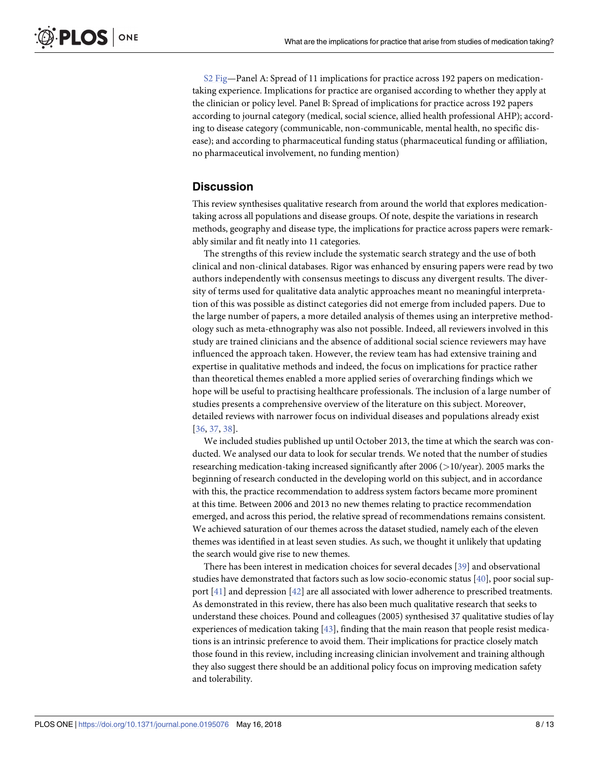<span id="page-7-0"></span>S2 [Fig](#page-9-0)—Panel A: Spread of 11 implications for practice across 192 papers on medicationtaking experience. Implications for practice are organised according to whether they apply at the clinician or policy level. Panel B: Spread of implications for practice across 192 papers according to journal category (medical, social science, allied health professional AHP); according to disease category (communicable, non-communicable, mental health, no specific disease); and according to pharmaceutical funding status (pharmaceutical funding or affiliation, no pharmaceutical involvement, no funding mention)

#### **Discussion**

This review synthesises qualitative research from around the world that explores medicationtaking across all populations and disease groups. Of note, despite the variations in research methods, geography and disease type, the implications for practice across papers were remarkably similar and fit neatly into 11 categories.

The strengths of this review include the systematic search strategy and the use of both clinical and non-clinical databases. Rigor was enhanced by ensuring papers were read by two authors independently with consensus meetings to discuss any divergent results. The diversity of terms used for qualitative data analytic approaches meant no meaningful interpretation of this was possible as distinct categories did not emerge from included papers. Due to the large number of papers, a more detailed analysis of themes using an interpretive methodology such as meta-ethnography was also not possible. Indeed, all reviewers involved in this study are trained clinicians and the absence of additional social science reviewers may have influenced the approach taken. However, the review team has had extensive training and expertise in qualitative methods and indeed, the focus on implications for practice rather than theoretical themes enabled a more applied series of overarching findings which we hope will be useful to practising healthcare professionals. The inclusion of a large number of studies presents a comprehensive overview of the literature on this subject. Moreover, detailed reviews with narrower focus on individual diseases and populations already exist [\[36](#page-11-0), [37](#page-11-0), [38\]](#page-11-0).

We included studies published up until October 2013, the time at which the search was conducted. We analysed our data to look for secular trends. We noted that the number of studies researching medication-taking increased significantly after 2006 (*>*10/year). 2005 marks the beginning of research conducted in the developing world on this subject, and in accordance with this, the practice recommendation to address system factors became more prominent at this time. Between 2006 and 2013 no new themes relating to practice recommendation emerged, and across this period, the relative spread of recommendations remains consistent. We achieved saturation of our themes across the dataset studied, namely each of the eleven themes was identified in at least seven studies. As such, we thought it unlikely that updating the search would give rise to new themes.

There has been interest in medication choices for several decades [[39](#page-11-0)] and observational studies have demonstrated that factors such as low socio-economic status [\[40\]](#page-11-0), poor social support [[41](#page-11-0)] and depression [[42](#page-11-0)] are all associated with lower adherence to prescribed treatments. As demonstrated in this review, there has also been much qualitative research that seeks to understand these choices. Pound and colleagues (2005) synthesised 37 qualitative studies of lay experiences of medication taking [[43](#page-11-0)], finding that the main reason that people resist medications is an intrinsic preference to avoid them. Their implications for practice closely match those found in this review, including increasing clinician involvement and training although they also suggest there should be an additional policy focus on improving medication safety and tolerability.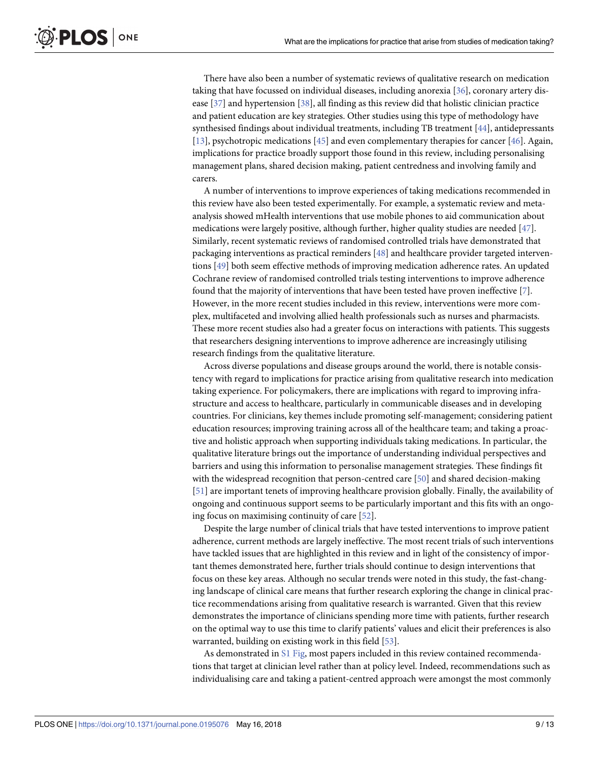<span id="page-8-0"></span>There have also been a number of systematic reviews of qualitative research on medication taking that have focussed on individual diseases, including anorexia [\[36\]](#page-11-0), coronary artery disease [\[37\]](#page-11-0) and hypertension [[38](#page-11-0)], all finding as this review did that holistic clinician practice and patient education are key strategies. Other studies using this type of methodology have synthesised findings about individual treatments, including TB treatment [[44](#page-11-0)], antidepressants [\[13\]](#page-10-0), psychotropic medications [\[45\]](#page-11-0) and even complementary therapies for cancer [\[46\]](#page-11-0). Again, implications for practice broadly support those found in this review, including personalising management plans, shared decision making, patient centredness and involving family and carers.

A number of interventions to improve experiences of taking medications recommended in this review have also been tested experimentally. For example, a systematic review and metaanalysis showed mHealth interventions that use mobile phones to aid communication about medications were largely positive, although further, higher quality studies are needed [[47](#page-12-0)]. Similarly, recent systematic reviews of randomised controlled trials have demonstrated that packaging interventions as practical reminders [\[48\]](#page-12-0) and healthcare provider targeted interventions [\[49\]](#page-12-0) both seem effective methods of improving medication adherence rates. An updated Cochrane review of randomised controlled trials testing interventions to improve adherence found that the majority of interventions that have been tested have proven ineffective [\[7](#page-10-0)]. However, in the more recent studies included in this review, interventions were more complex, multifaceted and involving allied health professionals such as nurses and pharmacists. These more recent studies also had a greater focus on interactions with patients. This suggests that researchers designing interventions to improve adherence are increasingly utilising research findings from the qualitative literature.

Across diverse populations and disease groups around the world, there is notable consistency with regard to implications for practice arising from qualitative research into medication taking experience. For policymakers, there are implications with regard to improving infrastructure and access to healthcare, particularly in communicable diseases and in developing countries. For clinicians, key themes include promoting self-management; considering patient education resources; improving training across all of the healthcare team; and taking a proactive and holistic approach when supporting individuals taking medications. In particular, the qualitative literature brings out the importance of understanding individual perspectives and barriers and using this information to personalise management strategies. These findings fit with the widespread recognition that person-centred care [[50](#page-12-0)] and shared decision-making [\[51\]](#page-12-0) are important tenets of improving healthcare provision globally. Finally, the availability of ongoing and continuous support seems to be particularly important and this fits with an ongoing focus on maximising continuity of care [\[52\]](#page-12-0).

Despite the large number of clinical trials that have tested interventions to improve patient adherence, current methods are largely ineffective. The most recent trials of such interventions have tackled issues that are highlighted in this review and in light of the consistency of important themes demonstrated here, further trials should continue to design interventions that focus on these key areas. Although no secular trends were noted in this study, the fast-changing landscape of clinical care means that further research exploring the change in clinical practice recommendations arising from qualitative research is warranted. Given that this review demonstrates the importance of clinicians spending more time with patients, further research on the optimal way to use this time to clarify patients' values and elicit their preferences is also warranted, building on existing work in this field [\[53\]](#page-12-0).

As demonstrated in S1 [Fig,](#page-9-0) most papers included in this review contained recommendations that target at clinician level rather than at policy level. Indeed, recommendations such as individualising care and taking a patient-centred approach were amongst the most commonly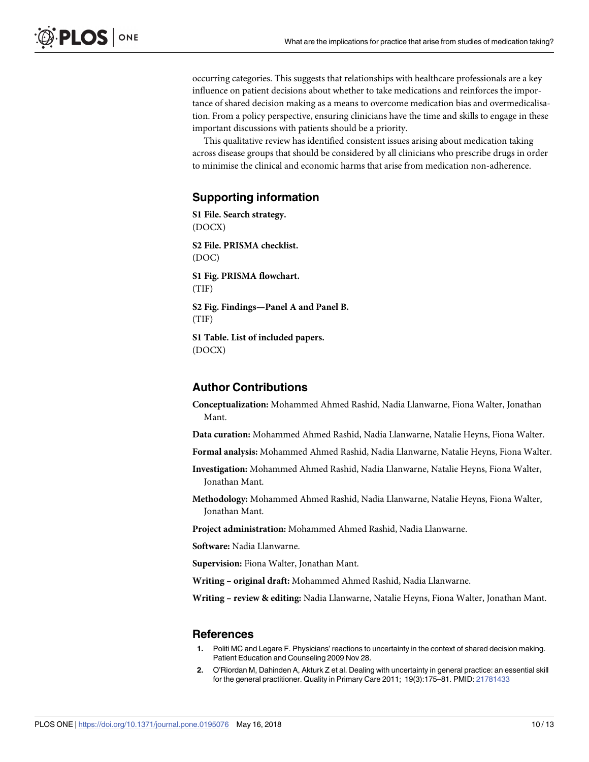<span id="page-9-0"></span>occurring categories. This suggests that relationships with healthcare professionals are a key influence on patient decisions about whether to take medications and reinforces the importance of shared decision making as a means to overcome medication bias and overmedicalisation. From a policy perspective, ensuring clinicians have the time and skills to engage in these important discussions with patients should be a priority.

This qualitative review has identified consistent issues arising about medication taking across disease groups that should be considered by all clinicians who prescribe drugs in order to minimise the clinical and economic harms that arise from medication non-adherence.

#### **Supporting information**

**S1 [File.](http://www.plosone.org/article/fetchSingleRepresentation.action?uri=info:doi/10.1371/journal.pone.0195076.s001) Search strategy.** (DOCX) **S2 [File.](http://www.plosone.org/article/fetchSingleRepresentation.action?uri=info:doi/10.1371/journal.pone.0195076.s002) PRISMA checklist.** (DOC) **S1 [Fig](http://www.plosone.org/article/fetchSingleRepresentation.action?uri=info:doi/10.1371/journal.pone.0195076.s003). PRISMA flowchart.** (TIF) **S2 [Fig](http://www.plosone.org/article/fetchSingleRepresentation.action?uri=info:doi/10.1371/journal.pone.0195076.s004). Findings—Panel A and Panel B.**

(TIF)

**S1 [Table.](http://www.plosone.org/article/fetchSingleRepresentation.action?uri=info:doi/10.1371/journal.pone.0195076.s005) List of included papers.** (DOCX)

#### **Author Contributions**

**Conceptualization:** Mohammed Ahmed Rashid, Nadia Llanwarne, Fiona Walter, Jonathan Mant.

**Data curation:** Mohammed Ahmed Rashid, Nadia Llanwarne, Natalie Heyns, Fiona Walter.

**Formal analysis:** Mohammed Ahmed Rashid, Nadia Llanwarne, Natalie Heyns, Fiona Walter.

**Investigation:** Mohammed Ahmed Rashid, Nadia Llanwarne, Natalie Heyns, Fiona Walter, Jonathan Mant.

**Methodology:** Mohammed Ahmed Rashid, Nadia Llanwarne, Natalie Heyns, Fiona Walter, Jonathan Mant.

**Project administration:** Mohammed Ahmed Rashid, Nadia Llanwarne.

**Software:** Nadia Llanwarne.

**Supervision:** Fiona Walter, Jonathan Mant.

**Writing – original draft:** Mohammed Ahmed Rashid, Nadia Llanwarne.

**Writing – review & editing:** Nadia Llanwarne, Natalie Heyns, Fiona Walter, Jonathan Mant.

#### **References**

- **[1](#page-1-0).** Politi MC and Legare F. Physicians' reactions to uncertainty in the context of shared decision making. Patient Education and Counseling 2009 Nov 28.
- **[2](#page-1-0).** O'Riordan M, Dahinden A, Akturk Z et al. Dealing with uncertainty in general practice: an essential skill for the general practitioner. Quality in Primary Care 2011; 19(3):175–81. PMID: [21781433](http://www.ncbi.nlm.nih.gov/pubmed/21781433)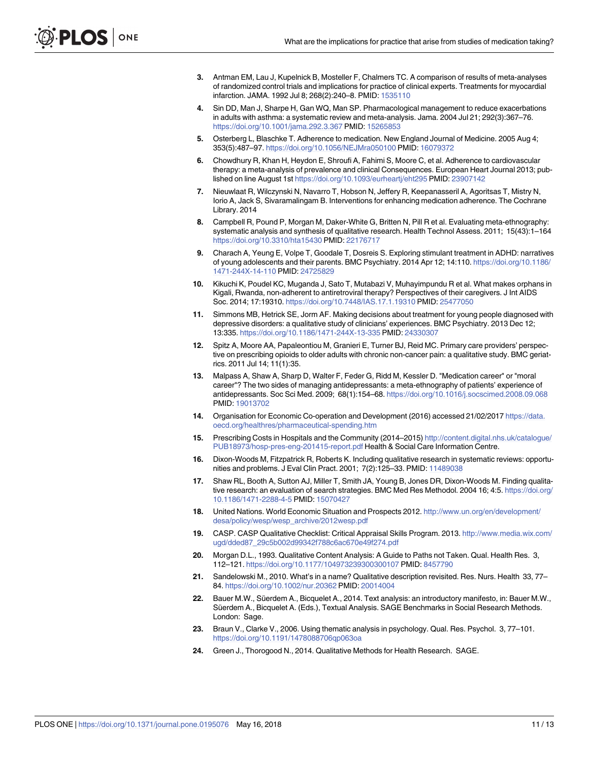- <span id="page-10-0"></span>**[3](#page-1-0).** Antman EM, Lau J, Kupelnick B, Mosteller F, Chalmers TC. A comparison of results of meta-analyses of randomized control trials and implications for practice of clinical experts. Treatments for myocardial infarction. JAMA. 1992 Jul 8; 268(2):240–8. PMID: [1535110](http://www.ncbi.nlm.nih.gov/pubmed/1535110)
- **[4](#page-1-0).** Sin DD, Man J, Sharpe H, Gan WQ, Man SP. Pharmacological management to reduce exacerbations in adults with asthma: a systematic review and meta-analysis. Jama. 2004 Jul 21; 292(3):367–76. <https://doi.org/10.1001/jama.292.3.367> PMID: [15265853](http://www.ncbi.nlm.nih.gov/pubmed/15265853)
- **[5](#page-1-0).** Osterberg L, Blaschke T. Adherence to medication. New England Journal of Medicine. 2005 Aug 4; 353(5):487–97. <https://doi.org/10.1056/NEJMra050100> PMID: [16079372](http://www.ncbi.nlm.nih.gov/pubmed/16079372)
- **[6](#page-1-0).** Chowdhury R, Khan H, Heydon E, Shroufi A, Fahimi S, Moore C, et al. Adherence to cardiovascular therapy: a meta-analysis of prevalence and clinical Consequences. European Heart Journal 2013; published on line August 1st <https://doi.org/10.1093/eurheartj/eht295> PMID: [23907142](http://www.ncbi.nlm.nih.gov/pubmed/23907142)
- **[7](#page-1-0).** Nieuwlaat R, Wilczynski N, Navarro T, Hobson N, Jeffery R, Keepanasseril A, Agoritsas T, Mistry N, Iorio A, Jack S, Sivaramalingam B. Interventions for enhancing medication adherence. The Cochrane Library. 2014
- **[8](#page-1-0).** Campbell R, Pound P, Morgan M, Daker-White G, Britten N, Pill R et al. Evaluating meta-ethnography: systematic analysis and synthesis of qualitative research. Health Technol Assess. 2011; 15(43):1–164 <https://doi.org/10.3310/hta15430> PMID: [22176717](http://www.ncbi.nlm.nih.gov/pubmed/22176717)
- **[9](#page-1-0).** Charach A, Yeung E, Volpe T, Goodale T, Dosreis S. Exploring stimulant treatment in ADHD: narratives of young adolescents and their parents. BMC Psychiatry. 2014 Apr 12; 14:110. [https://doi.org/10.1186/](https://doi.org/10.1186/1471-244X-14-110) [1471-244X-14-110](https://doi.org/10.1186/1471-244X-14-110) PMID: [24725829](http://www.ncbi.nlm.nih.gov/pubmed/24725829)
- **[10](#page-1-0).** Kikuchi K, Poudel KC, Muganda J, Sato T, Mutabazi V, Muhayimpundu R et al. What makes orphans in Kigali, Rwanda, non-adherent to antiretroviral therapy? Perspectives of their caregivers. J Int AIDS Soc. 2014; 17:19310. <https://doi.org/10.7448/IAS.17.1.19310> PMID: [25477050](http://www.ncbi.nlm.nih.gov/pubmed/25477050)
- **[11](#page-1-0).** Simmons MB, Hetrick SE, Jorm AF. Making decisions about treatment for young people diagnosed with depressive disorders: a qualitative study of clinicians' experiences. BMC Psychiatry. 2013 Dec 12; 13:335. <https://doi.org/10.1186/1471-244X-13-335> PMID: [24330307](http://www.ncbi.nlm.nih.gov/pubmed/24330307)
- **[12](#page-1-0).** Spitz A, Moore AA, Papaleontiou M, Granieri E, Turner BJ, Reid MC. Primary care providers' perspective on prescribing opioids to older adults with chronic non-cancer pain: a qualitative study. BMC geriatrics. 2011 Jul 14; 11(1):35.
- **[13](#page-1-0).** Malpass A, Shaw A, Sharp D, Walter F, Feder G, Ridd M, Kessler D. "Medication career" or "moral career"? The two sides of managing antidepressants: a meta-ethnography of patients' experience of antidepressants. Soc Sci Med. 2009; 68(1):154–68. <https://doi.org/10.1016/j.socscimed.2008.09.068> PMID: [19013702](http://www.ncbi.nlm.nih.gov/pubmed/19013702)
- **[14](#page-1-0).** Organisation for Economic Co-operation and Development (2016) accessed 21/02/2017 [https://data.](https://data.oecd.org/healthres/pharmaceutical-spending.htm) [oecd.org/healthres/pharmaceutical-spending.htm](https://data.oecd.org/healthres/pharmaceutical-spending.htm)
- **[15](#page-1-0).** Prescribing Costs in Hospitals and the Community (2014–2015) [http://content.digital.nhs.uk/catalogue/](http://content.digital.nhs.uk/catalogue/PUB18973/hosp-pres-eng-201415-report.pdf) [PUB18973/hosp-pres-eng-201415-report.pdf](http://content.digital.nhs.uk/catalogue/PUB18973/hosp-pres-eng-201415-report.pdf) Health & Social Care Information Centre.
- **[16](#page-1-0).** Dixon-Woods M, Fitzpatrick R, Roberts K. Including qualitative research in systematic reviews: opportunities and problems. J Eval Clin Pract. 2001; 7(2):125–33. PMID: [11489038](http://www.ncbi.nlm.nih.gov/pubmed/11489038)
- **[17](#page-1-0).** Shaw RL, Booth A, Sutton AJ, Miller T, Smith JA, Young B, Jones DR, Dixon-Woods M. Finding qualitative research: an evaluation of search strategies. BMC Med Res Methodol. 2004 16; 4:5. [https://doi.org/](https://doi.org/10.1186/1471-2288-4-5) [10.1186/1471-2288-4-5](https://doi.org/10.1186/1471-2288-4-5) PMID: [15070427](http://www.ncbi.nlm.nih.gov/pubmed/15070427)
- **[18](#page-2-0).** United Nations. World Economic Situation and Prospects 2012. [http://www.un.org/en/development/](http://www.un.org/en/development/desa/policy/wesp/wesp_archive/2012wesp.pdf) [desa/policy/wesp/wesp\\_archive/2012wesp.pdf](http://www.un.org/en/development/desa/policy/wesp/wesp_archive/2012wesp.pdf)
- **[19](#page-2-0).** CASP. CASP Qualitative Checklist: Critical Appraisal Skills Program. 2013. [http://www.media.wix.com/](http://www.media.wix.com/ugd/dded87_29c5b002d99342f788c6ac670e49f274.pdf) [ugd/dded87\\_29c5b002d99342f788c6ac670e49f274.pdf](http://www.media.wix.com/ugd/dded87_29c5b002d99342f788c6ac670e49f274.pdf)
- **[20](#page-3-0).** Morgan D.L., 1993. Qualitative Content Analysis: A Guide to Paths not Taken. Qual. Health Res. 3, 112–121. <https://doi.org/10.1177/104973239300300107> PMID: [8457790](http://www.ncbi.nlm.nih.gov/pubmed/8457790)
- **[21](#page-3-0).** Sandelowski M., 2010. What's in a name? Qualitative description revisited. Res. Nurs. Health 33, 77– 84. <https://doi.org/10.1002/nur.20362> PMID: [20014004](http://www.ncbi.nlm.nih.gov/pubmed/20014004)
- **[22](#page-3-0).** Bauer M.W., Süerdem A., Bicquelet A., 2014. Text analysis: an introductory manifesto, in: Bauer M.W., Süerdem A., Bicquelet A. (Eds.), Textual Analysis. SAGE Benchmarks in Social Research Methods. London: Sage.
- **[23](#page-3-0).** Braun V., Clarke V., 2006. Using thematic analysis in psychology. Qual. Res. Psychol. 3, 77–101. <https://doi.org/10.1191/1478088706qp063oa>
- **[24](#page-3-0).** Green J., Thorogood N., 2014. Qualitative Methods for Health Research. SAGE.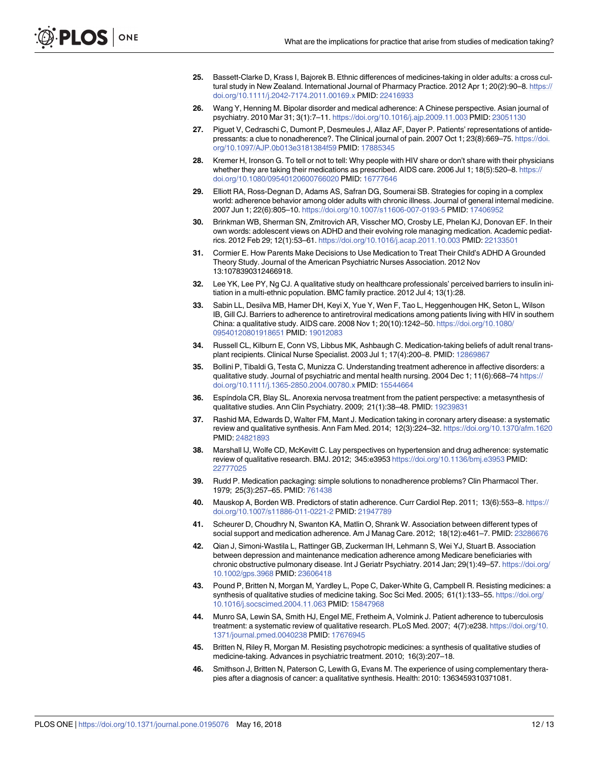- <span id="page-11-0"></span>**[25](#page-4-0).** Bassett-Clarke D, Krass I, Bajorek B. Ethnic differences of medicines-taking in older adults: a cross cultural study in New Zealand. International Journal of Pharmacy Practice. 2012 Apr 1; 20(2):90–8. [https://](https://doi.org/10.1111/j.2042-7174.2011.00169.x) [doi.org/10.1111/j.2042-7174.2011.00169.x](https://doi.org/10.1111/j.2042-7174.2011.00169.x) PMID: [22416933](http://www.ncbi.nlm.nih.gov/pubmed/22416933)
- **[26](#page-4-0).** Wang Y, Henning M. Bipolar disorder and medical adherence: A Chinese perspective. Asian journal of psychiatry. 2010 Mar 31; 3(1):7–11. <https://doi.org/10.1016/j.ajp.2009.11.003> PMID: [23051130](http://www.ncbi.nlm.nih.gov/pubmed/23051130)
- **[27](#page-4-0).** Piguet V, Cedraschi C, Dumont P, Desmeules J, Allaz AF, Dayer P. Patients' representations of antidepressants: a clue to nonadherence?. The Clinical journal of pain. 2007 Oct 1; 23(8):669–75. [https://doi.](https://doi.org/10.1097/AJP.0b013e3181384f59) [org/10.1097/AJP.0b013e3181384f59](https://doi.org/10.1097/AJP.0b013e3181384f59) PMID: [17885345](http://www.ncbi.nlm.nih.gov/pubmed/17885345)
- **[28](#page-5-0).** Kremer H, Ironson G. To tell or not to tell: Why people with HIV share or don't share with their physicians whether they are taking their medications as prescribed. AIDS care. 2006 Jul 1; 18(5):520-8. [https://](https://doi.org/10.1080/09540120600766020) [doi.org/10.1080/09540120600766020](https://doi.org/10.1080/09540120600766020) PMID: [16777646](http://www.ncbi.nlm.nih.gov/pubmed/16777646)
- **[29](#page-5-0).** Elliott RA, Ross-Degnan D, Adams AS, Safran DG, Soumerai SB. Strategies for coping in a complex world: adherence behavior among older adults with chronic illness. Journal of general internal medicine. 2007 Jun 1; 22(6):805–10. <https://doi.org/10.1007/s11606-007-0193-5> PMID: [17406952](http://www.ncbi.nlm.nih.gov/pubmed/17406952)
- **[30](#page-5-0).** Brinkman WB, Sherman SN, Zmitrovich AR, Visscher MO, Crosby LE, Phelan KJ, Donovan EF. In their own words: adolescent views on ADHD and their evolving role managing medication. Academic pediatrics. 2012 Feb 29; 12(1):53–61. <https://doi.org/10.1016/j.acap.2011.10.003> PMID: [22133501](http://www.ncbi.nlm.nih.gov/pubmed/22133501)
- **[31](#page-5-0).** Cormier E. How Parents Make Decisions to Use Medication to Treat Their Child's ADHD A Grounded Theory Study. Journal of the American Psychiatric Nurses Association. 2012 Nov 13:1078390312466918.
- **[32](#page-5-0).** Lee YK, Lee PY, Ng CJ. A qualitative study on healthcare professionals' perceived barriers to insulin initiation in a multi-ethnic population. BMC family practice. 2012 Jul 4; 13(1):28.
- **[33](#page-6-0).** Sabin LL, Desilva MB, Hamer DH, Keyi X, Yue Y, Wen F, Tao L, Heggenhougen HK, Seton L, Wilson IB, Gill CJ. Barriers to adherence to antiretroviral medications among patients living with HIV in southern China: a qualitative study. AIDS care. 2008 Nov 1; 20(10):1242–50. [https://doi.org/10.1080/](https://doi.org/10.1080/09540120801918651) [09540120801918651](https://doi.org/10.1080/09540120801918651) PMID: [19012083](http://www.ncbi.nlm.nih.gov/pubmed/19012083)
- **[34](#page-6-0).** Russell CL, Kilburn E, Conn VS, Libbus MK, Ashbaugh C. Medication-taking beliefs of adult renal transplant recipients. Clinical Nurse Specialist. 2003 Jul 1; 17(4):200–8. PMID: [12869867](http://www.ncbi.nlm.nih.gov/pubmed/12869867)
- **[35](#page-6-0).** Bollini P, Tibaldi G, Testa C, Munizza C. Understanding treatment adherence in affective disorders: a qualitative study. Journal of psychiatric and mental health nursing. 2004 Dec 1; 11(6):668–74 [https://](https://doi.org/10.1111/j.1365-2850.2004.00780.x) [doi.org/10.1111/j.1365-2850.2004.00780.x](https://doi.org/10.1111/j.1365-2850.2004.00780.x) PMID: [15544664](http://www.ncbi.nlm.nih.gov/pubmed/15544664)
- **[36](#page-7-0).** Espı´ndola CR, Blay SL. Anorexia nervosa treatment from the patient perspective: a metasynthesis of qualitative studies. Ann Clin Psychiatry. 2009; 21(1):38–48. PMID: [19239831](http://www.ncbi.nlm.nih.gov/pubmed/19239831)
- **[37](#page-7-0).** Rashid MA, Edwards D, Walter FM, Mant J. Medication taking in coronary artery disease: a systematic review and qualitative synthesis. Ann Fam Med. 2014; 12(3):224–32. <https://doi.org/10.1370/afm.1620> PMID: [24821893](http://www.ncbi.nlm.nih.gov/pubmed/24821893)
- **[38](#page-7-0).** Marshall IJ, Wolfe CD, McKevitt C. Lay perspectives on hypertension and drug adherence: systematic review of qualitative research. BMJ. 2012; 345:e3953 <https://doi.org/10.1136/bmj.e3953> PMID: [22777025](http://www.ncbi.nlm.nih.gov/pubmed/22777025)
- **[39](#page-7-0).** Rudd P. Medication packaging: simple solutions to nonadherence problems? Clin Pharmacol Ther. 1979; 25(3):257–65. PMID: [761438](http://www.ncbi.nlm.nih.gov/pubmed/761438)
- **[40](#page-7-0).** Mauskop A, Borden WB. Predictors of statin adherence. Curr Cardiol Rep. 2011; 13(6):553–8. [https://](https://doi.org/10.1007/s11886-011-0221-2) [doi.org/10.1007/s11886-011-0221-2](https://doi.org/10.1007/s11886-011-0221-2) PMID: [21947789](http://www.ncbi.nlm.nih.gov/pubmed/21947789)
- **[41](#page-7-0).** Scheurer D, Choudhry N, Swanton KA, Matlin O, Shrank W. Association between different types of social support and medication adherence. Am J Manag Care. 2012; 18(12):e461–7. PMID: [23286676](http://www.ncbi.nlm.nih.gov/pubmed/23286676)
- **[42](#page-7-0).** Qian J, Simoni-Wastila L, Rattinger GB, Zuckerman IH, Lehmann S, Wei YJ, Stuart B. Association between depression and maintenance medication adherence among Medicare beneficiaries with chronic obstructive pulmonary disease. Int J Geriatr Psychiatry. 2014 Jan; 29(1):49–57. [https://doi.org/](https://doi.org/10.1002/gps.3968) [10.1002/gps.3968](https://doi.org/10.1002/gps.3968) PMID: [23606418](http://www.ncbi.nlm.nih.gov/pubmed/23606418)
- **[43](#page-7-0).** Pound P, Britten N, Morgan M, Yardley L, Pope C, Daker-White G, Campbell R. Resisting medicines: a synthesis of qualitative studies of medicine taking. Soc Sci Med. 2005; 61(1):133–55. [https://doi.org/](https://doi.org/10.1016/j.socscimed.2004.11.063) [10.1016/j.socscimed.2004.11.063](https://doi.org/10.1016/j.socscimed.2004.11.063) PMID: [15847968](http://www.ncbi.nlm.nih.gov/pubmed/15847968)
- **[44](#page-8-0).** Munro SA, Lewin SA, Smith HJ, Engel ME, Fretheim A, Volmink J. Patient adherence to tuberculosis treatment: a systematic review of qualitative research. PLoS Med. 2007; 4(7):e238. [https://doi.org/10.](https://doi.org/10.1371/journal.pmed.0040238) [1371/journal.pmed.0040238](https://doi.org/10.1371/journal.pmed.0040238) PMID: [17676945](http://www.ncbi.nlm.nih.gov/pubmed/17676945)
- **[45](#page-8-0).** Britten N, Riley R, Morgan M. Resisting psychotropic medicines: a synthesis of qualitative studies of medicine-taking. Advances in psychiatric treatment. 2010; 16(3):207–18.
- **[46](#page-8-0).** Smithson J, Britten N, Paterson C, Lewith G, Evans M. The experience of using complementary therapies after a diagnosis of cancer: a qualitative synthesis. Health: 2010: 1363459310371081.